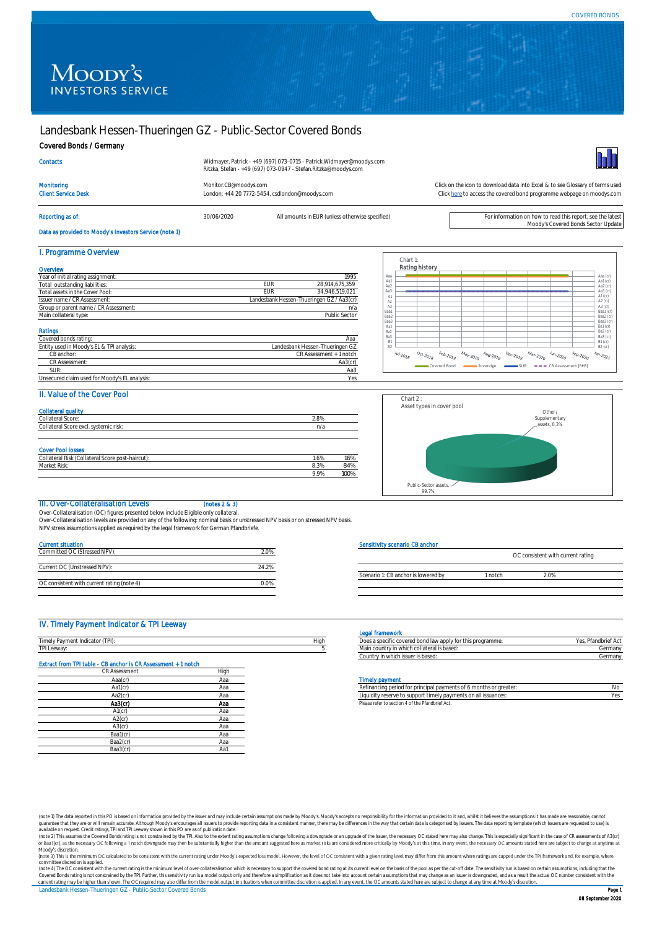# Moody's **INVESTORS SERVICE**

## Landesbank Hessen-Thueringen GZ - Public-Sector Covered Bonds

### Covered Bonds / Germany

**Contacts** 

Moody's Covered Bonds Sector Update



Client Service Desk London: +44 20 7772-5454, csdlondon@moodys.com

Widmayer, Patrick - +49 (697) 073-0715 - Patrick.Widmayer@moodys.com Ritzka, Stefan - +49 (697) 073-0947 - Stefan.Ritzka@moodys.com

Reporting as of: **1999 Contained a SO/06/2020** All amounts in EUR (unless otherwise specified) **For information on how to read this report**, see the late

Monitoring [Monitor.CB@moodys.com](mailto:Monitor.CB@moodys.com) Click on the icon to download data into Excel & to see Glossary of terms used

[Click here](https://www.moodys.com/credit-ratings/Landesbank-HessenThueringen-GZ--PublicSector-Covered-Bonds-credit-rating-722434892) to access the covered bond programme webpage on moodys.com

### Data as provided to Moody's Investors Service (note 1)

| I. Programme Overview                     |                                           |  |
|-------------------------------------------|-------------------------------------------|--|
| Overview                                  |                                           |  |
| Year of initial rating assignment:        | 1995                                      |  |
| Total outstanding liabilities:            | 28,914,675,359<br>EUR                     |  |
| Total assets in the Cover Pool:           | 34.946.519.021<br>EUR                     |  |
| Issuer name / CR Assessment:              | Landesbank Hessen-Thueringen GZ / Aa3(cr) |  |
| Group or parent name / CR Assessment:     | n/a                                       |  |
| Main collateral type:                     | Public Sector                             |  |
| Ratings                                   |                                           |  |
| Covered bonds rating:                     | Aaa                                       |  |
| Entity used in Moody's EL & TPI analysis: | Landesbank Hessen-Thueringen GZ           |  |
| CB anchor:                                | CR Assessment + 1 notch                   |  |
| CR Assessment:                            | Aa3(cr)                                   |  |

SUR: Aa3

| Aa1<br>Aa2<br>Aa3<br>A1<br>A <sub>2</sub> | Aa1 (cr)<br>Aa2 (cr)<br>Aa3 (cr)   |
|-------------------------------------------|------------------------------------|
|                                           |                                    |
|                                           | A1 (cr)                            |
|                                           | A2 (cr)<br>A3 (cr)                 |
| A3<br>Baa1                                | Baa1 (cr)                          |
| Baa2<br>Baa3                              | Baa2 $($ $\alpha$ $)$<br>Baa3 (cr) |
|                                           | Ba1 (cr)<br>Ba2 (cr)               |
|                                           | Ba3 (cr)                           |
|                                           | $B1(\alpha)$<br>$B2(\sigma)$       |

### II. Value of the Cover Pool

ed claim used for Moody's EL analysis

| <b>Collateral quality</b>                        |      |      |
|--------------------------------------------------|------|------|
| Collateral Score:                                | 2.8% |      |
| Collateral Score excl. systemic risk:            | n/a  |      |
|                                                  |      |      |
|                                                  |      |      |
| <b>Cover Pool losses</b>                         |      |      |
| Collateral Risk (Collateral Score post-haircut): | 1.6% | 16%  |
| Market Risk:                                     | 8.3% | 84%  |
|                                                  | 9.9% | 100% |



### III. Over-Collateralisation Levels (notes 2 & 3)

Over-Collateralisation (OC) figures presented below include Eligible only collateral. Over-Collateralisation levels are provided on any of the following: nominal basis or unstressed NPV basis or on stressed NPV basis. NPV stress assumptions applied as required by the legal framework for German Pfandbriefe.

| <b>Current situation</b>                   |       |
|--------------------------------------------|-------|
| Committed OC (Stressed NPV):               | 2.0%  |
| Current OC (Unstressed NPV):               | 24.2% |
| OC consistent with current rating (note 4) |       |

### Ivity scenario CB anchor

|                                     | OC consistent with current rating |    |  |
|-------------------------------------|-----------------------------------|----|--|
| Scenario 1: CB anchor is lowered by | notch                             | 0% |  |
|                                     |                                   |    |  |

### IV. Timely Payment Indicator & TPI Leeway

|                                                      |      | <b>HallCwur</b>                                                                                          |        |
|------------------------------------------------------|------|----------------------------------------------------------------------------------------------------------|--------|
| <b>CENT</b><br>-<br>zavrneni in<br>iuitatu<br>TILIER | Hiai | finition this programme.<br>a sn<br>way in 1991 Bl DUI Days<br><b>A ALIS JURO CONTRACT</b><br><b>DUC</b> |        |
| <b>STATISTICS</b><br><b>PPIMA</b><br>LCCWAY.         |      | ı collateral is based<br>Main country in which                                                           | German |

| Extract from TPI table - CB anchor Is CR Assessment + 1 notch |      |                        |
|---------------------------------------------------------------|------|------------------------|
| <b>CR Assessment</b>                                          | High |                        |
| Aaa(cr)                                                       | Aaa  | <b>Timely payment</b>  |
| Aa1(cr)                                                       | Ааа  | Refinancing perio      |
| Aa2(cr)                                                       | Aaa  | Liquidity reserve      |
| Aa3(cr)                                                       | Aaa  | Please refer to sectio |
| $A1$ (cr)                                                     | Aaa  |                        |
| $A2$ (cr)                                                     | Aaa  |                        |
| $A3$ (cr)                                                     | Aaa  |                        |
| Baa1(cr)                                                      | Aaa  |                        |
| Baa2(cr)                                                      | Aaa  |                        |
| Baa3(cr)                                                      | Aa1  |                        |

### Legal fram

| ________________________                                   |                     |
|------------------------------------------------------------|---------------------|
| Does a specific covered bond law apply for this programme: | Yes. Pfandbrief Act |
| Main country in which collateral is based:                 | Germany             |
| Country in which issuer is based:                          | Germany             |

| .       | .   |                                                                                    |
|---------|-----|------------------------------------------------------------------------------------|
| Aa1(cr  | маа | r principal payments of 6 months or greater:<br>Refinancing period for<br>NС       |
| Aa2(cr  | наа | dity reserve to support timely payments on all issuances:<br>Liuululu <sup>v</sup> |
| Aa3(cr) | Ааа | Please refer to section 4 of the Pfandbrief Act.                                   |

(note 1) The data reported in this PO is based on information provided by the issuer and may include certain assumptions made by Moody's Moody's accepts no responsibility for the information provided to it and, whilst it b

committee discretion is applied.<br>(note 4) The OC consistent with the current rating is the minimum level of over-collateralisation which is necessary to support the covered bond rating at its current level on the basis of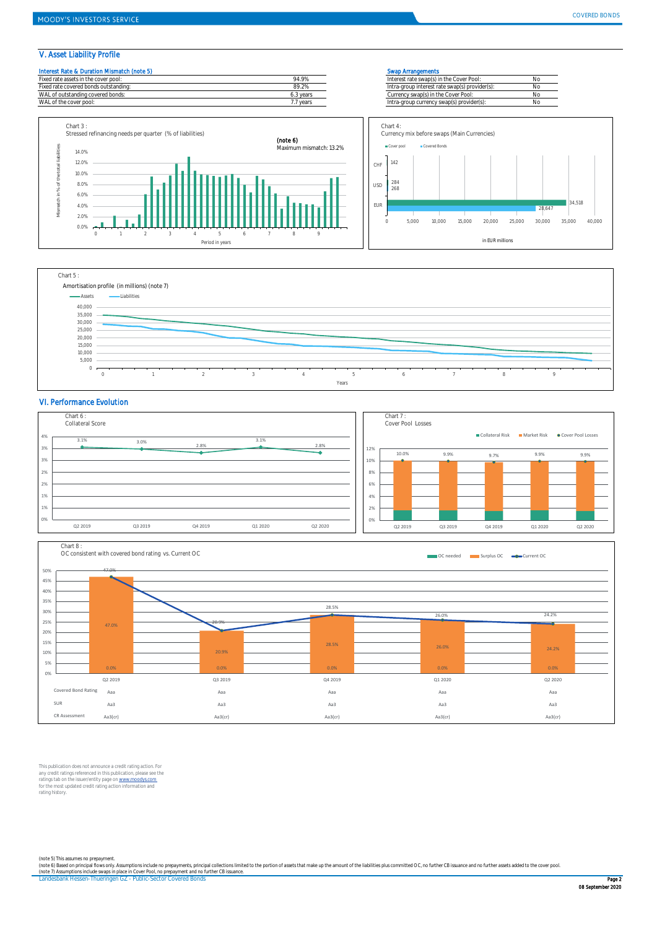34,518

٦

### V. Asset Liability Profile





### VI. Performance Evolution





This publication does not announce a credit rating action. For any credit ratings referenced in this publication, please see the<br>ratings tab on the issuer/entity page on <u>www.moodys.com</u><br>for the most updated credit rating action information and<br>rating history.

(note 5) This assumes no prepayment.<br>(note 6) Based on principal flows only. Assumptions include no prepayments, principal collections limited to the portion of assets that make up the amount of the liabilities plus commit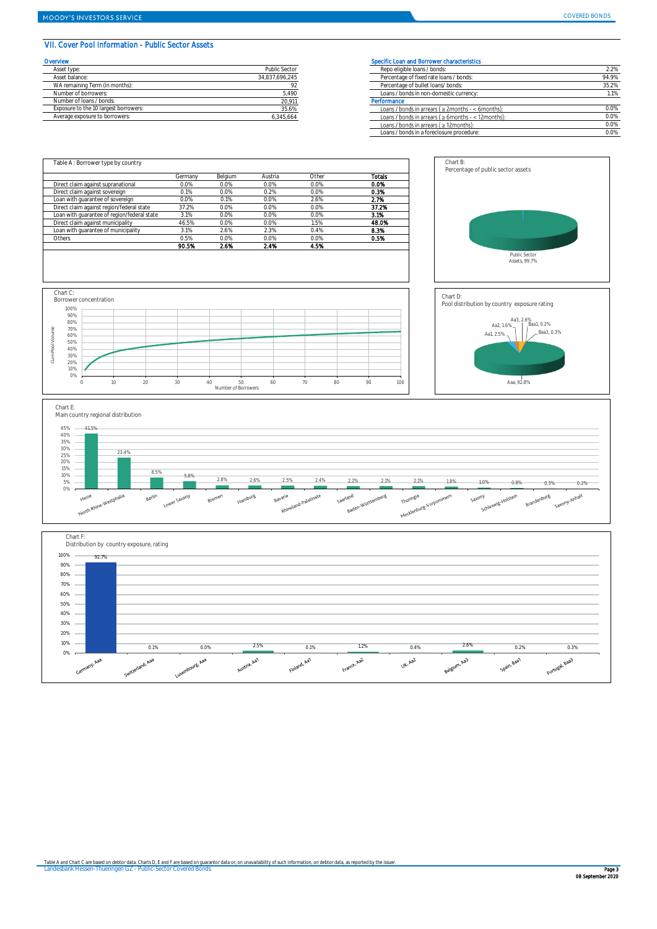### VII. Cover Pool Information - Public Sector Assets

| Overvlew                              |                | Specific Loan and Borrower characteristics       |
|---------------------------------------|----------------|--------------------------------------------------|
| Asset type:                           | Public Sector  | Repo eligible loans / bonds:                     |
| Asset balance:                        | 34.837.696.245 | Percentage of fixed rate loans / bonds:          |
| WA remaining Term (in months):        |                | Percentage of bullet loans/bonds:                |
| Number of borrowers:                  | 5,490          | Loans / bonds in non-domestic currency:          |
| Number of Joans / bonds:              | 20.911         | Performance                                      |
| Exposure to the 10 largest borrowers: | 35.6%          | Loans / bonds in arrears ( $\geq$ 2months - < 6  |
| Average exposure to borrowers:        | 6.345.664      | Loans / bonds in arrears ( $\geq 6$ months - < 1 |

| <b>Prvlew</b>                         |                | Specific Loan and Borrower characteristics                 |       |
|---------------------------------------|----------------|------------------------------------------------------------|-------|
| Asset type:                           | Public Sector  | Repo eligible loans / bonds:                               | 2.2%  |
| Asset balance:                        | 34,837,696,245 | Percentage of fixed rate loans / bonds:                    | 94.9% |
| WA remaining Term (in months):        |                | Percentage of bullet loans/ bonds:                         | 35.2% |
| Number of borrowers:                  | 5.490          | Loans / bonds in non-domestic currency:                    | 1.1%  |
| Number of Ioans / bonds:              | 20,911         | Performance                                                |       |
| Exposure to the 10 largest borrowers: | 35.6%          | Loans / bonds in arrears ( $\geq$ 2months - < 6months):    | 0.0%  |
| Average exposure to borrowers:        | 6,345,664      | Loans / bonds in arrears ( $\geq 6$ months - < 12 months): | 0.0%  |
|                                       |                | Loans / bonds in arrears ( $\geq$ 12 months):              | 0.0%  |
|                                       |                | Loans / bonds in a foreclosure procedure:                  | 0.0%  |



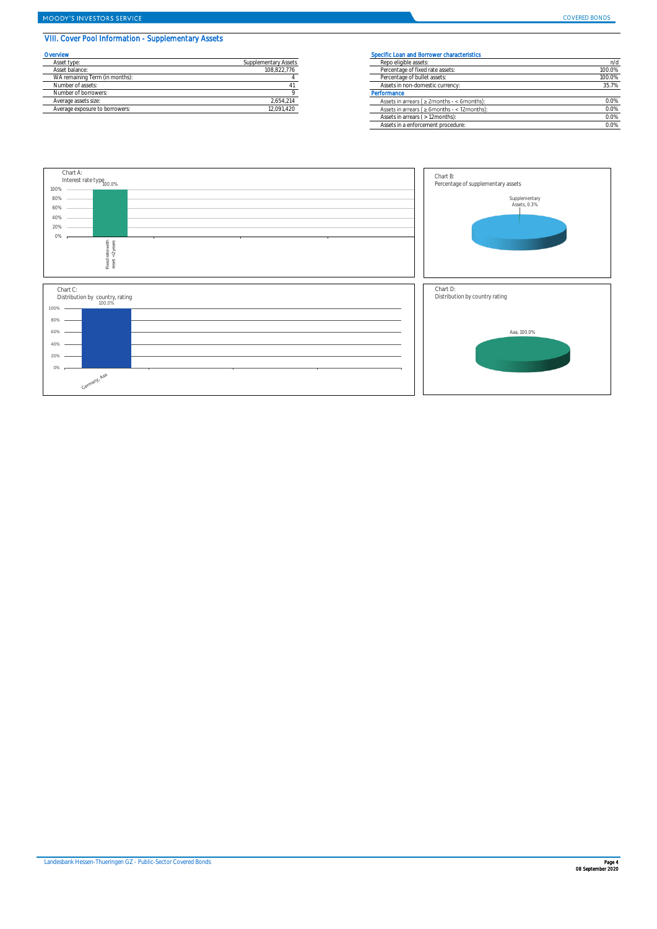# VIII. Cover Pool Information - Supplementary Assets

|                      | <b>Specific Loar</b> |
|----------------------|----------------------|
| Supplementary Assets | Repo eligi           |
| 108.822.776          | Percentad            |
|                      | Percentad            |
|                      | Assets in            |
|                      | Performance          |
| 2.654.214            | Assets in            |
| 12,091,420           | Assets in            |
|                      |                      |

| <b>Ervlew</b>                  |                      | Specific Loan and Borrower characteristics          |        |  |  |
|--------------------------------|----------------------|-----------------------------------------------------|--------|--|--|
| Asset type:                    | Supplementary Assets | Repo eligible assets:                               | n/d    |  |  |
| Asset balance:                 | 108.822.776          | Percentage of fixed rate assets:                    | 100.0% |  |  |
| WA remaining Term (in months): |                      | Percentage of bullet assets:                        | 100.0% |  |  |
| Number of assets:              |                      | Assets in non-domestic currency:                    | 35.7%  |  |  |
| Number of borrowers:           |                      | Performance                                         |        |  |  |
| Average assets size:           | 2,654,214            | Assets in arrears ( $\geq$ 2months - < 6months):    | 0.0%   |  |  |
| Average exposure to borrowers: | 12,091,420           | Assets in arrears ( $\geq 6$ months - < 12 months): | 0.0%   |  |  |
|                                |                      | Assets in arrears ( > 12months):                    | 0.0%   |  |  |
|                                |                      | Assets in a enforcement procedure:                  | 0.0%   |  |  |

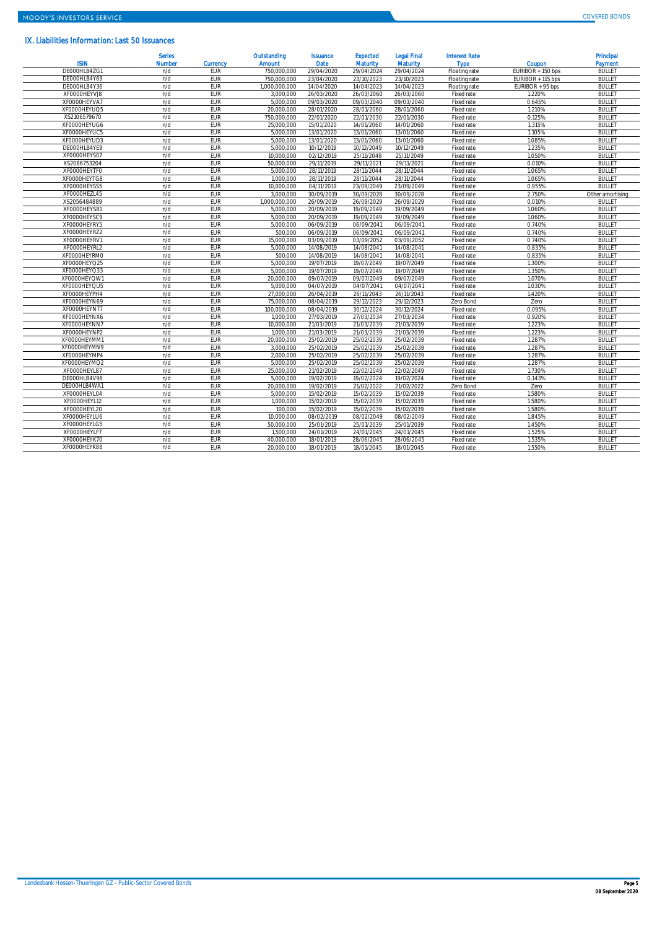### IX. Liabilities Information: Last 50 Issuances

| <b>ISIN</b>  | <b>Serles</b><br>Number | <b>Currency</b> | Outstanding<br><b>Amount</b> | <b>Issuance</b><br><b>Date</b> | <b>Expected</b><br><b>Maturity</b> | <b>Legal Final</b><br><b>Maturity</b> | <b>Interest Rate</b><br><b>Type</b> | Coupon            | <b>Principal</b><br>Payment |
|--------------|-------------------------|-----------------|------------------------------|--------------------------------|------------------------------------|---------------------------------------|-------------------------------------|-------------------|-----------------------------|
| DE000HLB4ZG1 | n/d                     | EUR             | 750.000.000                  | 29/04/2020                     | 29/04/2024                         | 29/04/2024                            | Floating rate                       | EURIBOR + 150 bps | <b>BULLET</b>               |
| DE000HLB4Y69 | n/d                     | EUR             | 750.000.000                  | 23/04/2020                     | 23/10/2023                         | 23/10/2023                            | Floating rate                       | EURIBOR + 115 bps | <b>BULLET</b>               |
| DE000HLB4Y36 | n/d                     | EUR             | 1.000.000.000                | 14/04/2020                     | 14/04/2023                         | 14/04/2023                            | Floating rate                       | EURIBOR + 95 bps  | <b>BULLET</b>               |
| XF0000HEYVJ8 | n/d                     | EUR             | 3.000.000                    | 26/03/2020                     | 26/03/2060                         | 26/03/2060                            | Fixed rate                          | 1.220%            | <b>BULLET</b>               |
| XF0000HEYVA7 | n/d                     | EUR             | 5.000.000                    | 09/03/2020                     | 09/03/2040                         | 09/03/2040                            | Fixed rate                          | 0.645%            | <b>BULLET</b>               |
| XF0000HEYUQ5 | n/d                     | EUR             | 20,000,000                   | 28/01/2020                     | 28/01/2060                         | 28/01/2060                            | Fixed rate                          | 1.210%            | <b>BULLET</b>               |
| XS2106579670 | n/d                     | EUR             | 750.000.000                  | 22/01/2020                     | 22/01/2030                         | 22/01/2030                            | Fixed rate                          | 0.125%            | <b>BULLET</b>               |
| XF0000HEYUG6 | n/d                     | EUR             | 25.000.000                   | 15/01/2020                     | 14/01/2060                         | 14/01/2060                            | Fixed rate                          | 1.315%            | <b>BULLET</b>               |
| XF0000HEYUC5 | n/d                     | EUR             | 5.000.000                    | 13/01/2020                     | 13/01/2060                         | 13/01/2060                            | Fixed rate                          | 1.105%            | <b>BULLET</b>               |
| XF0000HEYUD3 | n/d                     | EUR             | 5.000.000                    | 13/01/2020                     | 13/01/2060                         | 13/01/2060                            | Fixed rate                          | 1.085%            | <b>BULLET</b>               |
| DE000HLB4YE9 | n/d                     | EUR             | 5.000.000                    | 10/12/2019                     | 10/12/2049                         | 10/12/2049                            | Fixed rate                          | 1.235%            | <b>BULLET</b>               |
| XF0000HEYS07 | n/d                     | EUR             | 10.000.000                   | 02/12/2019                     | 25/11/2049                         | 25/11/2049                            | Fixed rate                          | 1.050%            | <b>BULLET</b>               |
| XS2086753204 | n/d                     | <b>FUR</b>      | 50.000.000                   | 29/11/2019                     | 29/11/2021                         | 29/11/2021                            | Fixed rate                          | 0.010%            | <b>BULLET</b>               |
| XF0000HEYTF0 | n/d                     | EUR             | 5.000.000                    | 28/11/2019                     | 28/11/2044                         | 28/11/2044                            | Fixed rate                          | 1.065%            | <b>BULLET</b>               |
| XF0000HEYTG8 | n/d                     | EUR             | 1.000.000                    | 28/11/2019                     | 28/11/2044                         | 28/11/2044                            | Fixed rate                          | 1.065%            | <b>BULLET</b>               |
| XF0000HEYSS5 | n/d                     | EUR             | 10.000.000                   | 04/11/2019                     | 23/09/2049                         | 23/09/2049                            | Fixed rate                          | 0.955%            | <b>BULLET</b>               |
| XF0000HEZL45 | n/d                     | EUR             | 3.000.000                    | 30/09/2019                     | 30/09/2028                         | 30/09/2028                            | Fixed rate                          | 2.750%            | Other amortising            |
| XS2056484889 | n/d                     | EUR             | 1.000.000.000                | 26/09/2019                     | 26/09/2029                         | 26/09/2029                            | Fixed rate                          | 0.010%            | <b>BULLET</b>               |
| XF0000HEYSB1 | n/d                     | EUR             | 5.000.000                    | 20/09/2019                     | 19/09/2049                         | 19/09/2049                            | Fixed rate                          | 1.060%            | <b>BULLET</b>               |
| XF0000HEYSC9 | n/d                     | EUR             | 5.000.000                    | 20/09/2019                     | 19/09/2049                         | 19/09/2049                            | Fixed rate                          | 1.060%            | <b>BULLET</b>               |
| XF0000HEYRY5 | n/d                     | EUR             | 5.000.000                    | 06/09/2019                     | 06/09/2041                         | 06/09/2041                            | Fixed rate                          | 0.740%            | <b>BULLET</b>               |
| XF0000HEYRZ2 | n/d                     | EUR             | 500,000                      | 06/09/2019                     | 06/09/2041                         | 06/09/2041                            | Fixed rate                          | 0.740%            | <b>BULLET</b>               |
| XF0000HEYRV1 | n/d                     | EUR             | 15.000.000                   | 03/09/2019                     | 03/09/2052                         | 03/09/2052                            | Fixed rate                          | 0.740%            | <b>BULLET</b>               |
| XF0000HEYRL2 | n/d                     | EUR             | 5.000.000                    | 14/08/2019                     | 14/08/2041                         | 14/08/2041                            | Fixed rate                          | 0.835%            | <b>BULLET</b>               |
| XF0000HEYRM0 | n/d                     | EUR             | 500,000                      | 14/08/2019                     | 14/08/2041                         | 14/08/2041                            | Fixed rate                          | 0.835%            | <b>BULLET</b>               |
| XF0000HEYO25 | n/d                     | EUR             | 5.000.000                    | 19/07/2019                     | 19/07/2049                         | 19/07/2049                            | Fixed rate                          | 1.300%            | <b>BULLET</b>               |
| XF0000HEYQ33 | n/d                     | EUR             | 5.000.000                    | 19/07/2019                     | 19/07/2049                         | 19/07/2049                            | Fixed rate                          | 1.350%            | <b>BULLET</b>               |
| XF0000HEYQW1 | n/d                     | EUR             | 20.000.000                   | 09/07/2019                     | 09/07/2049                         | 09/07/2049                            | Fixed rate                          | 1.070%            | <b>BULLET</b>               |
| XF0000HEYQU5 | n/d                     | EUR             | 5.000.000                    | 04/07/2019                     | 04/07/2041                         | 04/07/2041                            | Fixed rate                          | 1.030%            | <b>BULLET</b>               |
| XF0000HEYPH4 | n/d                     | EUR             | 27.000.000                   | 26/04/2019                     | 26/11/2043                         | 26/11/2043                            | Fixed rate                          | 1.420%            | <b>BULLET</b>               |
| XF0000HEYN69 | n/d                     | EUR             | 75.000.000                   | 08/04/2019                     | 29/12/2023                         | 29/12/2023                            | Zero Bond                           | Zero              | <b>BULLET</b>               |
| XF0000HEYN77 | n/d                     | EUR             | 100,000,000                  | 08/04/2019                     | 30/12/2024                         | 30/12/2024                            | Fixed rate                          | 0.095%            | <b>BULLET</b>               |
| XF0000HEYNX6 | n/d                     | EUR             | 1.000.000                    | 27/03/2019                     | 27/03/2034                         | 27/03/2034                            | Fixed rate                          | 0.920%            | <b>BULLET</b>               |
| XF0000HEYNN7 | n/d                     | EUR             | 10.000.000                   | 21/03/2019                     | 21/03/2039                         | 21/03/2039                            | Fixed rate                          | 1.223%            | <b>BULLET</b>               |
| XF0000HEYNP2 | n/d                     | EUR             | 1.000.000                    | 21/03/2019                     | 21/03/2039                         | 21/03/2039                            | Fixed rate                          | 1.223%            | <b>BULLET</b>               |
| XF0000HEYMM1 | n/d                     | EUR             | 20.000.000                   | 25/02/2019                     | 25/02/2039                         | 25/02/2039                            | Fixed rate                          | 1.287%            | <b>BULLET</b>               |
| XF0000HEYMN9 | n/d                     | EUR             | 3.000.000                    | 25/02/2019                     | 25/02/2039                         | 25/02/2039                            | Fixed rate                          | 1.287%            | <b>BULLET</b>               |
| XF0000HEYMP4 | n/d                     | EUR             | 2.000.000                    | 25/02/2019                     | 25/02/2039                         | 25/02/2039                            | Fixed rate                          | 1.287%            | <b>BULLET</b>               |
| XF0000HEYMQ2 | n/d                     | EUR             | 5.000.000                    | 25/02/2019                     | 25/02/2039                         | 25/02/2039                            | Fixed rate                          | 1.287%            | <b>BULLET</b>               |
| XF0000HEYL87 | n/d                     | EUR             | 25.000.000                   | 21/02/2019                     | 22/02/2049                         | 22/02/2049                            | Fixed rate                          | 1.730%            | <b>BULLET</b>               |
| DE000HLB4V96 | n/d                     | EUR             | 5.000.000                    | 19/02/2019                     | 19/02/2024                         | 19/02/2024                            | Fixed rate                          | 0.143%            | <b>BULLET</b>               |
| DE000HLB4WA1 | n/d                     | EUR             | 20.000.000                   | 19/02/2019                     | 21/02/2022                         | 21/02/2022                            | Zero Bond                           | Zero              | <b>BULLET</b>               |
| XF0000HEYL04 | n/d                     | EUR             | 5.000.000                    | 15/02/2019                     | 15/02/2039                         | 15/02/2039                            | Fixed rate                          | 1.580%            | <b>BULLET</b>               |
| XF0000HEYL12 | n/d                     | EUR             | 1,000,000                    | 15/02/2019                     | 15/02/2039                         | 15/02/2039                            | Fixed rate                          | 1.580%            | <b>BULLET</b>               |
| XFO000HEYL20 | n/d                     | EUR             | 100.000                      | 15/02/2019                     | 15/02/2039                         | 15/02/2039                            | Fixed rate                          | 1.580%            | <b>BULLET</b>               |
| XF0000HEYLU6 | n/d                     | EUR             | 10.000.000                   | 08/02/2019                     | 08/02/2049                         | 08/02/2049                            | Fixed rate                          | 1.845%            | <b>BULLET</b>               |
| XF0000HEYLG5 | n/d                     | EUR             | 50.000.000                   | 25/01/2019                     | 25/01/2039                         | 25/01/2039                            | Fixed rate                          | 1.450%            | <b>BULLET</b>               |
| XFO000HEYLF7 | n/d                     | EUR             | 1.500.000                    | 24/01/2019                     | 24/01/2045                         | 24/01/2045                            | Fixed rate                          | 1.525%            | <b>BULLET</b>               |
| XF0000HEYK70 | n/d                     | <b>EUR</b>      | 40,000,000                   | 18/01/2019                     | 28/06/2045                         | 28/06/2045                            | Fixed rate                          | 1.535%            | <b>BULLET</b>               |
| XF0000HEYK88 | n/d                     | EUR             | 20.000.000                   | 18/01/2019                     | 18/01/2045                         | 18/01/2045                            | Fixed rate                          | 1.550%            | <b>BULLET</b>               |
|              |                         |                 |                              |                                |                                    |                                       |                                     |                   |                             |